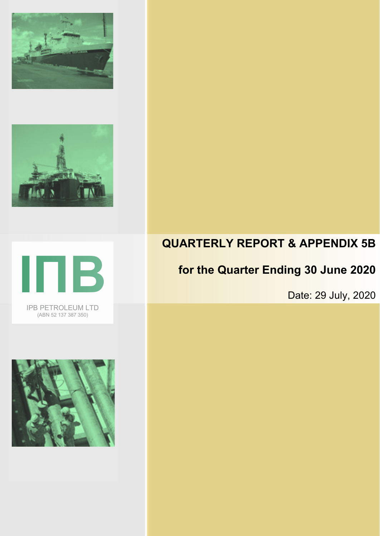







# **QUARTERLY REPORT & APPENDIX 5B**

# **for the Quarter Ending 30 June 2020**

Date: 29 July, 2020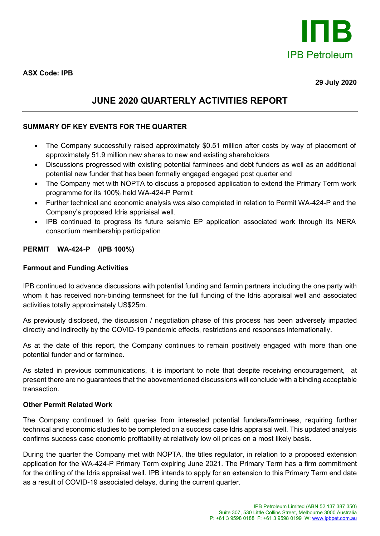

## **JUNE 2020 QUARTERLY ACTIVITIES REPORT**

### **SUMMARY OF KEY EVENTS FOR THE QUARTER**

- The Company successfully raised approximately \$0.51 million after costs by way of placement of approximately 51.9 million new shares to new and existing shareholders
- Discussions progressed with existing potential farminees and debt funders as well as an additional potential new funder that has been formally engaged engaged post quarter end
- The Company met with NOPTA to discuss a proposed application to extend the Primary Term work programme for its 100% held WA-424-P Permit
- Further technical and economic analysis was also completed in relation to Permit WA-424-P and the Company's proposed Idris appriaisal well.
- IPB continued to progress its future seismic EP application associated work through its NERA consortium membership participation

#### **PERMIT WA-424-P (IPB 100%)**

#### **Farmout and Funding Activities**

IPB continued to advance discussions with potential funding and farmin partners including the one party with whom it has received non-binding termsheet for the full funding of the Idris appraisal well and associated activities totally approximately US\$25m.

As previously disclosed, the discussion / negotiation phase of this process has been adversely impacted directly and indirectly by the COVID-19 pandemic effects, restrictions and responses internationally.

As at the date of this report, the Company continues to remain positively engaged with more than one potential funder and or farminee.

As stated in previous communications, it is important to note that despite receiving encouragement, at present there are no guarantees that the abovementioned discussions will conclude with a binding acceptable transaction.

#### **Other Permit Related Work**

The Company continued to field queries from interested potential funders/farminees, requiring further technical and economic studies to be completed on a success case Idris appraisal well. This updated analysis confirms success case economic profitability at relatively low oil prices on a most likely basis.

During the quarter the Company met with NOPTA, the titles regulator, in relation to a proposed extension application for the WA-424-P Primary Term expiring June 2021. The Primary Term has a firm commitment for the drilling of the Idris appraisal well. IPB intends to apply for an extension to this Primary Term end date as a result of COVID-19 associated delays, during the current quarter.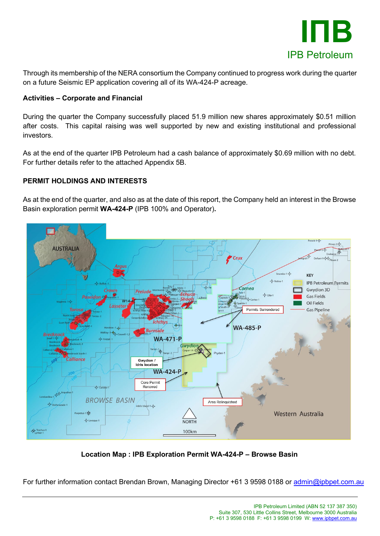

Through its membership of the NERA consortium the Company continued to progress work during the quarter on a future Seismic EP application covering all of its WA-424-P acreage.

#### **Activities – Corporate and Financial**

During the quarter the Company successfully placed 51.9 million new shares approximately \$0.51 million after costs. This capital raising was well supported by new and existing institutional and professional investors.

As at the end of the quarter IPB Petroleum had a cash balance of approximately \$0.69 million with no debt. For further details refer to the attached Appendix 5B.

### **PERMIT HOLDINGS AND INTERESTS**

As at the end of the quarter, and also as at the date of this report, the Company held an interest in the Browse Basin exploration permit **WA-424-P** (IPB 100% and Operator)**.**



**Location Map : IPB Exploration Permit WA-424-P – Browse Basin**

For further information contact Brendan Brown, Managing Director +61 3 9598 0188 or [admin@ipbpet.com.au](mailto:admin@ipbpet.com.au)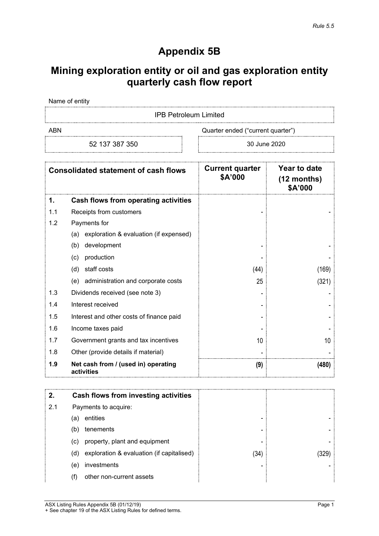## **Appendix 5B**

## **Mining exploration entity or oil and gas exploration entity quarterly cash flow report**

Name of entity

IPB Petroleum Limited

52 137 387 350 30 June 2020

ABN Cuarter ended ("current quarter")

| <b>Consolidated statement of cash flows</b> |                                                   | <b>Current quarter</b><br>\$A'000 | Year to date<br>$(12$ months)<br>\$A'000 |
|---------------------------------------------|---------------------------------------------------|-----------------------------------|------------------------------------------|
| 1.                                          | Cash flows from operating activities              |                                   |                                          |
| 1.1                                         | Receipts from customers                           |                                   |                                          |
| 1.2                                         | Payments for                                      |                                   |                                          |
|                                             | exploration & evaluation (if expensed)<br>(a)     |                                   |                                          |
|                                             | development<br>(b)                                |                                   |                                          |
|                                             | production<br>(c)                                 |                                   |                                          |
|                                             | staff costs<br>(d)                                | (44)                              | (169)                                    |
|                                             | administration and corporate costs<br>(e)         | 25                                | (321)                                    |
| 1.3                                         | Dividends received (see note 3)                   |                                   |                                          |
| 1.4                                         | Interest received                                 |                                   |                                          |
| 1.5                                         | Interest and other costs of finance paid          |                                   |                                          |
| 1.6                                         | Income taxes paid                                 |                                   |                                          |
| 1.7                                         | Government grants and tax incentives              | 10                                | 10                                       |
| 1.8                                         | Other (provide details if material)               |                                   |                                          |
| 1.9                                         | Net cash from / (used in) operating<br>activities | (9)                               | (480)                                    |

|     |     | Cash flows from investing activities      |      |  |
|-----|-----|-------------------------------------------|------|--|
| 2.1 |     | Payments to acquire:                      |      |  |
|     | (a) | entities                                  | -    |  |
|     | (b  | tenements                                 | -    |  |
|     | (c) | property, plant and equipment             |      |  |
|     | (d) | exploration & evaluation (if capitalised) | (34) |  |
|     | (e) | investments                               |      |  |
|     |     | other non-current assets                  |      |  |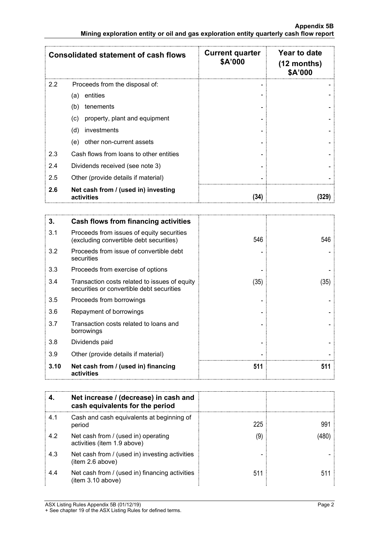|     | <b>Consolidated statement of cash flows</b>       | <b>Current quarter</b><br>\$A'000 | Year to date<br>$(12$ months)<br>\$A'000 |
|-----|---------------------------------------------------|-----------------------------------|------------------------------------------|
| 2.2 | Proceeds from the disposal of:                    |                                   |                                          |
|     | entities<br>(a)                                   |                                   |                                          |
|     | tenements<br>(b)                                  |                                   |                                          |
|     | property, plant and equipment<br>(c)              |                                   |                                          |
|     | (d)<br>investments                                |                                   |                                          |
|     | other non-current assets<br>(e)                   |                                   |                                          |
| 2.3 | Cash flows from loans to other entities           |                                   |                                          |
| 2.4 | Dividends received (see note 3)                   |                                   |                                          |
| 2.5 | Other (provide details if material)               |                                   |                                          |
| 2.6 | Net cash from / (used in) investing<br>activities | (34)                              |                                          |

| 3.   | <b>Cash flows from financing activities</b>                                                |      |      |
|------|--------------------------------------------------------------------------------------------|------|------|
| 3.1  | Proceeds from issues of equity securities<br>(excluding convertible debt securities)       | 546  | 546  |
| 3.2  | Proceeds from issue of convertible debt<br>securities                                      |      |      |
| 3.3  | Proceeds from exercise of options                                                          |      |      |
| 3.4  | Transaction costs related to issues of equity<br>securities or convertible debt securities | (35) | (35) |
| 3.5  | Proceeds from borrowings                                                                   |      |      |
| 3.6  | Repayment of borrowings                                                                    |      |      |
| 3.7  | Transaction costs related to loans and<br>borrowings                                       |      |      |
| 3.8  | Dividends paid                                                                             |      |      |
| 3.9  | Other (provide details if material)                                                        |      |      |
| 3.10 | Net cash from / (used in) financing<br>activities                                          | 511  | 511  |

|     | Net increase / (decrease) in cash and<br>cash equivalents for the period |     |  |
|-----|--------------------------------------------------------------------------|-----|--|
| 4.1 | Cash and cash equivalents at beginning of<br>period                      | 225 |  |
| 4.2 | Net cash from / (used in) operating<br>activities (item 1.9 above)       | ΄9  |  |
| 4.3 | Net cash from / (used in) investing activities<br>item 2.6 above)        |     |  |
| 4.4 | Net cash from / (used in) financing activities<br>(item 3.10 above)      | 511 |  |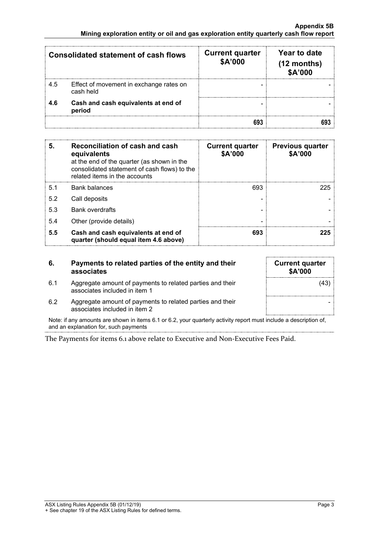| <b>Consolidated statement of cash flows</b> |                                                      | <b>Current quarter</b><br>\$A'000 | Year to date<br>$(12$ months)<br>\$A'000 |
|---------------------------------------------|------------------------------------------------------|-----------------------------------|------------------------------------------|
| 4.5                                         | Effect of movement in exchange rates on<br>cash held |                                   |                                          |
| 4.6                                         | Cash and cash equivalents at end of<br>period        |                                   |                                          |
|                                             |                                                      |                                   |                                          |

| 5.  | Reconciliation of cash and cash<br>equivalents<br>at the end of the quarter (as shown in the<br>consolidated statement of cash flows) to the<br>related items in the accounts | <b>Current quarter</b><br>\$A'000 | <b>Previous quarter</b><br>\$A'000 |
|-----|-------------------------------------------------------------------------------------------------------------------------------------------------------------------------------|-----------------------------------|------------------------------------|
| 51  | <b>Bank balances</b>                                                                                                                                                          | 693                               | 225                                |
| 5.2 | Call deposits                                                                                                                                                                 |                                   |                                    |
| 5.3 | <b>Bank overdrafts</b>                                                                                                                                                        |                                   |                                    |
| 5.4 | Other (provide details)                                                                                                                                                       | -                                 |                                    |
| 5.5 | Cash and cash equivalents at end of<br>quarter (should equal item 4.6 above)                                                                                                  | 693                               |                                    |

| 6.  | Payments to related parties of the entity and their<br>associates                          | <b>Current quarter</b><br><b>\$A'000</b> |
|-----|--------------------------------------------------------------------------------------------|------------------------------------------|
| 6.1 | Aggregate amount of payments to related parties and their<br>associates included in item 1 | (43)                                     |
| 6.2 | Aggregate amount of payments to related parties and their<br>associates included in item 2 |                                          |

Note: if any amounts are shown in items 6.1 or 6.2, your quarterly activity report must include a description of, and an explanation for, such payments

The Payments for items 6.1 above relate to Executive and Non-Executive Fees Paid.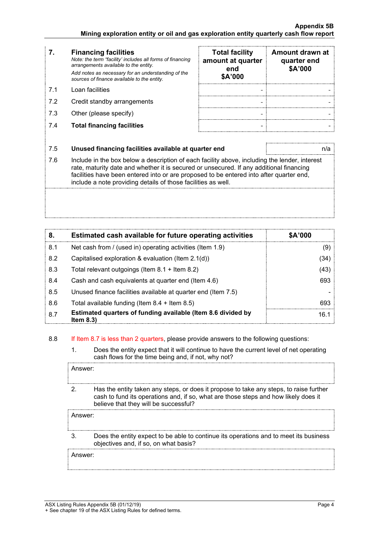- **7. Financing facilities** *Note: the term "facility' includes all forms of financing arrangements available to the entity. Add notes as necessary for an understanding of the sources of finance available to the entity.*
- 
- 7.2 Credit standby arrangements
- 7.3 Other (please specify)
- 7.4 **Total financing facilities - -**

|     | <b>Financing facilities</b><br>Note: the term "facility' includes all forms of financing<br>arrangements available to the entity.<br>Add notes as necessary for an understanding of the<br>sources of finance available to the entity. | <b>Total facility</b><br>amount at quarter<br>end<br>\$A'000 | Amount drawn at<br>quarter end<br>\$A'000 |
|-----|----------------------------------------------------------------------------------------------------------------------------------------------------------------------------------------------------------------------------------------|--------------------------------------------------------------|-------------------------------------------|
| 71  | Loan facilities                                                                                                                                                                                                                        |                                                              |                                           |
| 7.2 | Credit standby arrangements                                                                                                                                                                                                            |                                                              |                                           |
| 7.3 | Other (please specify)                                                                                                                                                                                                                 |                                                              |                                           |
| 7.4 | <b>Total financing facilities</b>                                                                                                                                                                                                      |                                                              |                                           |

#### 7.5 **Unused financing facilities available at quarter end** n/a

7.6 Include in the box below a description of each facility above, including the lender, interest rate, maturity date and whether it is secured or unsecured. If any additional financing facilities have been entered into or are proposed to be entered into after quarter end, include a note providing details of those facilities as well.

| 8.  | Estimated cash available for future operating activities                     | <b>SA'000</b> |
|-----|------------------------------------------------------------------------------|---------------|
| 8.1 | Net cash from / (used in) operating activities (Item 1.9)                    | (9)           |
| 8.2 | Capitalised exploration & evaluation (Item $2.1(d)$ )                        | (34)          |
| 8.3 | Total relevant outgoings (Item $8.1 +$ Item $8.2$ )                          | (43)          |
| 8.4 | Cash and cash equivalents at quarter end (Item 4.6)                          | 693           |
| 8.5 | Unused finance facilities available at quarter end (Item 7.5)                |               |
| 8.6 | Total available funding (Item $8.4 +$ Item $8.5$ )                           | 693           |
| 8.7 | Estimated quarters of funding available (Item 8.6 divided by<br>Item $8.3$ ) | 16.1          |

#### 8.8 If Item 8.7 is less than 2 quarters, please provide answers to the following questions:

1. Does the entity expect that it will continue to have the current level of net operating cash flows for the time being and, if not, why not?

Answer:

2. Has the entity taken any steps, or does it propose to take any steps, to raise further cash to fund its operations and, if so, what are those steps and how likely does it believe that they will be successful?

Answer:

3. Does the entity expect to be able to continue its operations and to meet its business objectives and, if so, on what basis?

Answer: